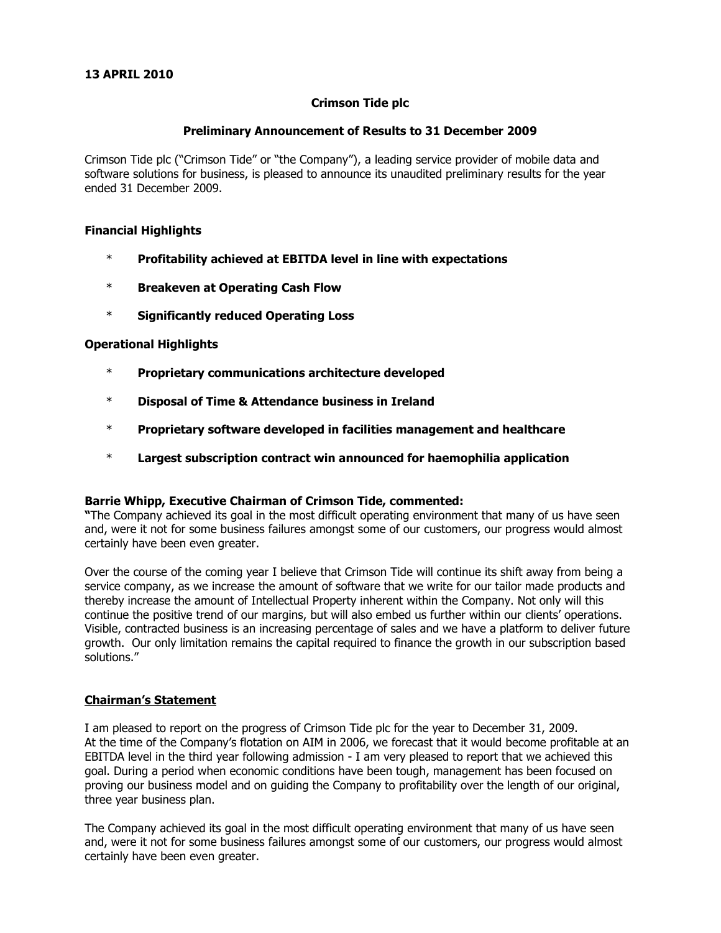### **Preliminary Announcement of Results to 31 December 2009**

Crimson Tide plc ("Crimson Tide" or "the Company"), a leading service provider of mobile data and software solutions for business, is pleased to announce its unaudited preliminary results for the year ended 31 December 2009.

### **Financial Highlights**

- \* **Profitability achieved at EBITDA level in line with expectations**
- \* **Breakeven at Operating Cash Flow**
- \* **Significantly reduced Operating Loss**

### **Operational Highlights**

- \* **Proprietary communications architecture developed**
- \* **Disposal of Time & Attendance business in Ireland**
- \* **Proprietary software developed in facilities management and healthcare**
- \* **Largest subscription contract win announced for haemophilia application**

#### **Barrie Whipp, Executive Chairman of Crimson Tide, commented:**

**"**The Company achieved its goal in the most difficult operating environment that many of us have seen and, were it not for some business failures amongst some of our customers, our progress would almost certainly have been even greater.

Over the course of the coming year I believe that Crimson Tide will continue its shift away from being a service company, as we increase the amount of software that we write for our tailor made products and thereby increase the amount of Intellectual Property inherent within the Company. Not only will this continue the positive trend of our margins, but will also embed us further within our clients' operations. Visible, contracted business is an increasing percentage of sales and we have a platform to deliver future growth. Our only limitation remains the capital required to finance the growth in our subscription based solutions."

### **Chairman's Statement**

I am pleased to report on the progress of Crimson Tide plc for the year to December 31, 2009. At the time of the Company's flotation on AIM in 2006, we forecast that it would become profitable at an EBITDA level in the third year following admission - I am very pleased to report that we achieved this goal. During a period when economic conditions have been tough, management has been focused on proving our business model and on guiding the Company to profitability over the length of our original, three year business plan.

The Company achieved its goal in the most difficult operating environment that many of us have seen and, were it not for some business failures amongst some of our customers, our progress would almost certainly have been even greater.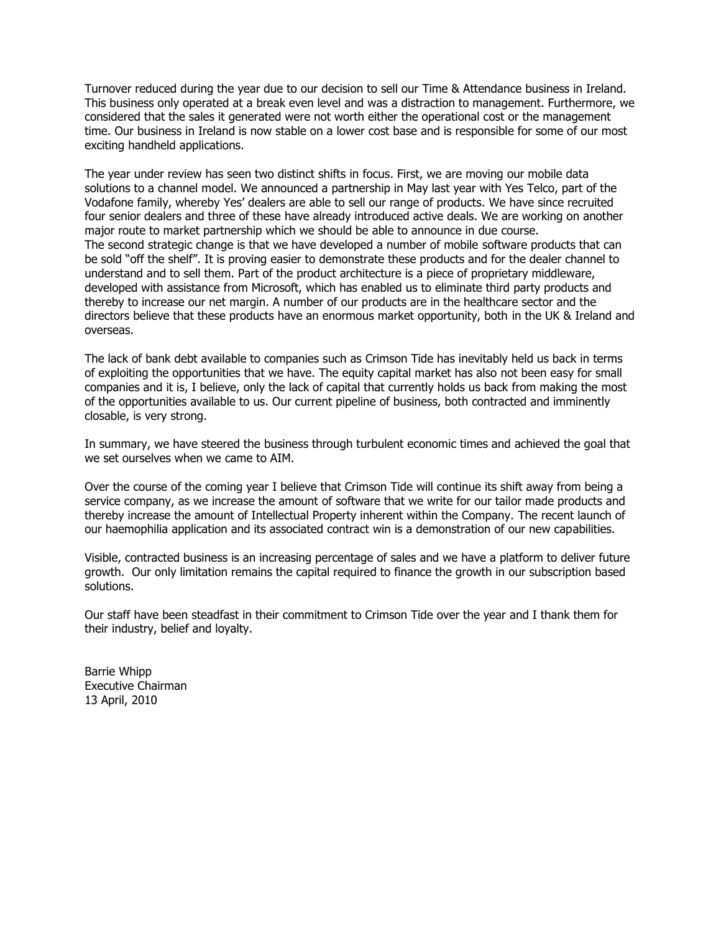Turnover reduced during the year due to our decision to sell our Time & Attendance business in Ireland. This business only operated at a break even level and was a distraction to management. Furthermore, we considered that the sales it generated were not worth either the operational cost or the management time. Our business in Ireland is now stable on a lower cost base and is responsible for some of our most exciting handheld applications.

The year under review has seen two distinct shifts in focus. First, we are moving our mobile data solutions to a channel model. We announced a partnership in May last year with Yes Telco, part of the Vodafone family, whereby Yes' dealers are able to sell our range of products. We have since recruited four senior dealers and three of these have already introduced active deals. We are working on another major route to market partnership which we should be able to announce in due course. The second strategic change is that we have developed a number of mobile software products that can be sold "off the shelf". It is proving easier to demonstrate these products and for the dealer channel to understand and to sell them. Part of the product architecture is a piece of proprietary middleware, developed with assistance from Microsoft, which has enabled us to eliminate third party products and thereby to increase our net margin. A number of our products are in the healthcare sector and the directors believe that these products have an enormous market opportunity, both in the UK & Ireland and overseas.

The lack of bank debt available to companies such as Crimson Tide has inevitably held us back in terms of exploiting the opportunities that we have. The equity capital market has also not been easy for small companies and it is, I believe, only the lack of capital that currently holds us back from making the most of the opportunities available to us. Our current pipeline of business, both contracted and imminently closable, is very strong.

In summary, we have steered the business through turbulent economic times and achieved the goal that we set ourselves when we came to AIM.

Over the course of the coming year I believe that Crimson Tide will continue its shift away from being a service company, as we increase the amount of software that we write for our tailor made products and thereby increase the amount of Intellectual Property inherent within the Company. The recent launch of our haemophilia application and its associated contract win is a demonstration of our new capabilities.

Visible, contracted business is an increasing percentage of sales and we have a platform to deliver future growth. Our only limitation remains the capital required to finance the growth in our subscription based solutions.

Our staff have been steadfast in their commitment to Crimson Tide over the year and I thank them for their industry, belief and loyalty.

Barrie Whipp Executive Chairman 13 April, 2010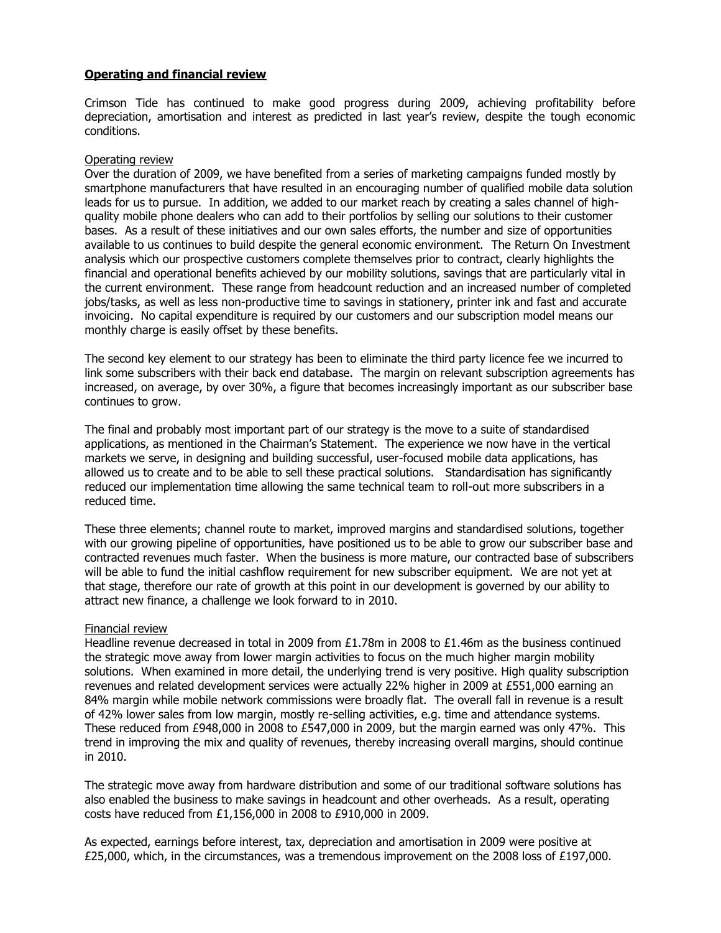### **Operating and financial review**

Crimson Tide has continued to make good progress during 2009, achieving profitability before depreciation, amortisation and interest as predicted in last year's review, despite the tough economic conditions.

### Operating review

Over the duration of 2009, we have benefited from a series of marketing campaigns funded mostly by smartphone manufacturers that have resulted in an encouraging number of qualified mobile data solution leads for us to pursue. In addition, we added to our market reach by creating a sales channel of highquality mobile phone dealers who can add to their portfolios by selling our solutions to their customer bases. As a result of these initiatives and our own sales efforts, the number and size of opportunities available to us continues to build despite the general economic environment. The Return On Investment analysis which our prospective customers complete themselves prior to contract, clearly highlights the financial and operational benefits achieved by our mobility solutions, savings that are particularly vital in the current environment. These range from headcount reduction and an increased number of completed jobs/tasks, as well as less non-productive time to savings in stationery, printer ink and fast and accurate invoicing. No capital expenditure is required by our customers and our subscription model means our monthly charge is easily offset by these benefits.

The second key element to our strategy has been to eliminate the third party licence fee we incurred to link some subscribers with their back end database. The margin on relevant subscription agreements has increased, on average, by over 30%, a figure that becomes increasingly important as our subscriber base continues to grow.

The final and probably most important part of our strategy is the move to a suite of standardised applications, as mentioned in the Chairman's Statement. The experience we now have in the vertical markets we serve, in designing and building successful, user-focused mobile data applications, has allowed us to create and to be able to sell these practical solutions. Standardisation has significantly reduced our implementation time allowing the same technical team to roll-out more subscribers in a reduced time.

These three elements; channel route to market, improved margins and standardised solutions, together with our growing pipeline of opportunities, have positioned us to be able to grow our subscriber base and contracted revenues much faster. When the business is more mature, our contracted base of subscribers will be able to fund the initial cashflow requirement for new subscriber equipment. We are not yet at that stage, therefore our rate of growth at this point in our development is governed by our ability to attract new finance, a challenge we look forward to in 2010.

#### Financial review

Headline revenue decreased in total in 2009 from £1.78m in 2008 to £1.46m as the business continued the strategic move away from lower margin activities to focus on the much higher margin mobility solutions. When examined in more detail, the underlying trend is very positive. High quality subscription revenues and related development services were actually 22% higher in 2009 at £551,000 earning an 84% margin while mobile network commissions were broadly flat. The overall fall in revenue is a result of 42% lower sales from low margin, mostly re-selling activities, e.g. time and attendance systems. These reduced from £948,000 in 2008 to £547,000 in 2009, but the margin earned was only 47%. This trend in improving the mix and quality of revenues, thereby increasing overall margins, should continue in 2010.

The strategic move away from hardware distribution and some of our traditional software solutions has also enabled the business to make savings in headcount and other overheads. As a result, operating costs have reduced from £1,156,000 in 2008 to £910,000 in 2009.

As expected, earnings before interest, tax, depreciation and amortisation in 2009 were positive at £25,000, which, in the circumstances, was a tremendous improvement on the 2008 loss of £197,000.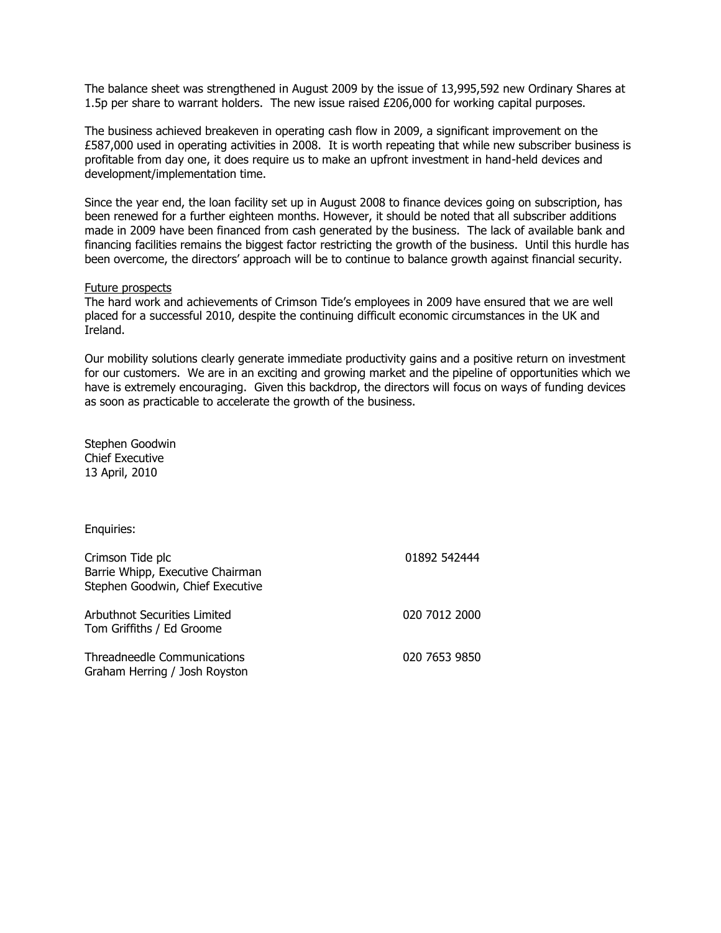The balance sheet was strengthened in August 2009 by the issue of 13,995,592 new Ordinary Shares at 1.5p per share to warrant holders. The new issue raised £206,000 for working capital purposes.

The business achieved breakeven in operating cash flow in 2009, a significant improvement on the £587,000 used in operating activities in 2008. It is worth repeating that while new subscriber business is profitable from day one, it does require us to make an upfront investment in hand-held devices and development/implementation time.

Since the year end, the loan facility set up in August 2008 to finance devices going on subscription, has been renewed for a further eighteen months. However, it should be noted that all subscriber additions made in 2009 have been financed from cash generated by the business. The lack of available bank and financing facilities remains the biggest factor restricting the growth of the business. Until this hurdle has been overcome, the directors' approach will be to continue to balance growth against financial security.

#### Future prospects

The hard work and achievements of Crimson Tide's employees in 2009 have ensured that we are well placed for a successful 2010, despite the continuing difficult economic circumstances in the UK and Ireland.

Our mobility solutions clearly generate immediate productivity gains and a positive return on investment for our customers. We are in an exciting and growing market and the pipeline of opportunities which we have is extremely encouraging. Given this backdrop, the directors will focus on ways of funding devices as soon as practicable to accelerate the growth of the business.

Stephen Goodwin Chief Executive 13 April, 2010

Enquiries:

| Crimson Tide plc<br>Barrie Whipp, Executive Chairman<br>Stephen Goodwin, Chief Executive | 01892 542444  |
|------------------------------------------------------------------------------------------|---------------|
| Arbuthnot Securities Limited<br>Tom Griffiths / Ed Groome                                | 020 7012 2000 |
| Threadneedle Communications<br>Graham Herring / Josh Royston                             | 020 7653 9850 |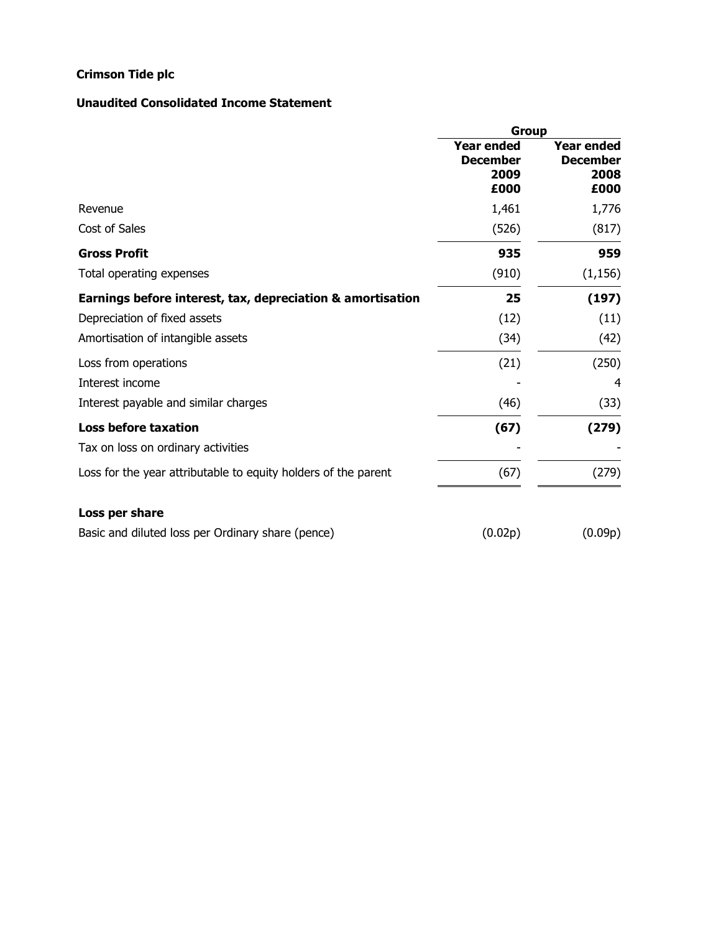## **Unaudited Consolidated Income Statement**

|                                                                | <b>Group</b>                                         |                                                      |
|----------------------------------------------------------------|------------------------------------------------------|------------------------------------------------------|
|                                                                | <b>Year ended</b><br><b>December</b><br>2009<br>£000 | <b>Year ended</b><br><b>December</b><br>2008<br>£000 |
| Revenue                                                        | 1,461                                                | 1,776                                                |
| Cost of Sales                                                  | (526)                                                | (817)                                                |
| <b>Gross Profit</b>                                            | 935                                                  | 959                                                  |
| Total operating expenses                                       | (910)                                                | (1, 156)                                             |
| Earnings before interest, tax, depreciation & amortisation     | 25                                                   | (197)                                                |
| Depreciation of fixed assets                                   | (12)                                                 | (11)                                                 |
| Amortisation of intangible assets                              | (34)                                                 | (42)                                                 |
| Loss from operations                                           | (21)                                                 | (250)                                                |
| Interest income                                                |                                                      | 4                                                    |
| Interest payable and similar charges                           | (46)                                                 | (33)                                                 |
| <b>Loss before taxation</b>                                    | (67)                                                 | (279)                                                |
| Tax on loss on ordinary activities                             |                                                      |                                                      |
| Loss for the year attributable to equity holders of the parent | (67)                                                 | (279)                                                |
| Loss per share                                                 |                                                      |                                                      |
| Basic and diluted loss per Ordinary share (pence)              | (0.02p)                                              | (0.09p)                                              |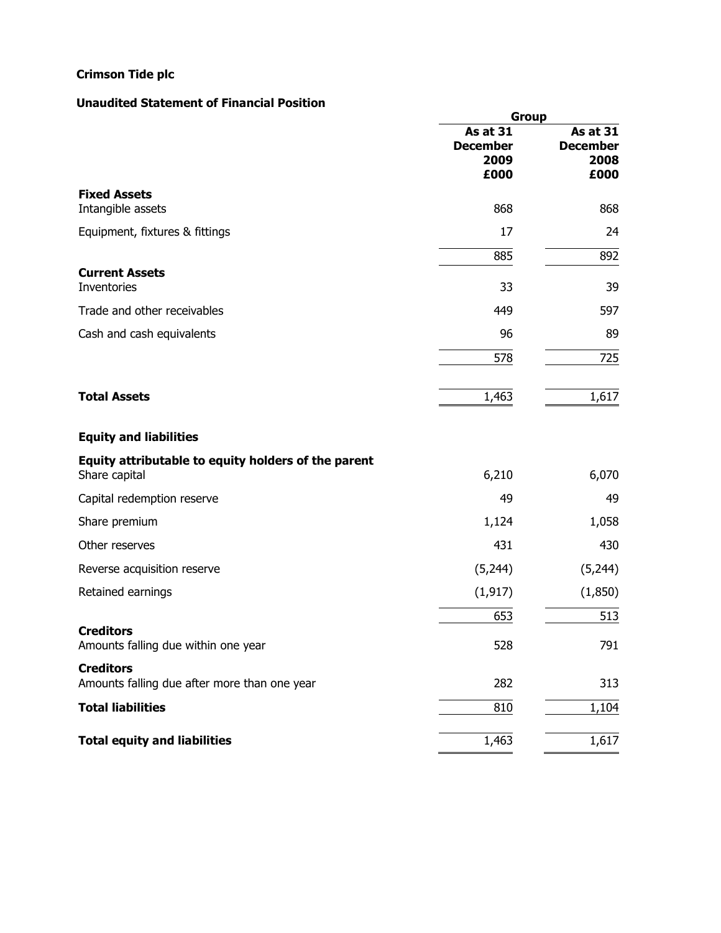### **Unaudited Statement of Financial Position**

|                                                                      | <b>Group</b>                                       |                                                    |
|----------------------------------------------------------------------|----------------------------------------------------|----------------------------------------------------|
|                                                                      | <b>As at 31</b><br><b>December</b><br>2009<br>£000 | <b>As at 31</b><br><b>December</b><br>2008<br>£000 |
| <b>Fixed Assets</b><br>Intangible assets                             | 868                                                | 868                                                |
| Equipment, fixtures & fittings                                       | 17                                                 | 24                                                 |
|                                                                      | 885                                                | 892                                                |
| <b>Current Assets</b><br><b>Inventories</b>                          | 33                                                 | 39                                                 |
| Trade and other receivables                                          | 449                                                | 597                                                |
| Cash and cash equivalents                                            | 96                                                 | 89                                                 |
|                                                                      | 578                                                | 725                                                |
| <b>Total Assets</b>                                                  | 1,463                                              | 1,617                                              |
| <b>Equity and liabilities</b>                                        |                                                    |                                                    |
| Equity attributable to equity holders of the parent<br>Share capital | 6,210                                              | 6,070                                              |
| Capital redemption reserve                                           | 49                                                 | 49                                                 |
| Share premium                                                        | 1,124                                              | 1,058                                              |
| Other reserves                                                       | 431                                                | 430                                                |
| Reverse acquisition reserve                                          | (5,244)                                            | (5,244)                                            |
| Retained earnings                                                    | (1, 917)                                           | (1,850)                                            |
|                                                                      | 653                                                | 513                                                |
| <b>Creditors</b><br>Amounts falling due within one year              | 528                                                | 791                                                |
| <b>Creditors</b><br>Amounts falling due after more than one year     | 282                                                | 313                                                |
| <b>Total liabilities</b>                                             | 810                                                | 1,104                                              |
| <b>Total equity and liabilities</b>                                  | 1,463                                              | 1,617                                              |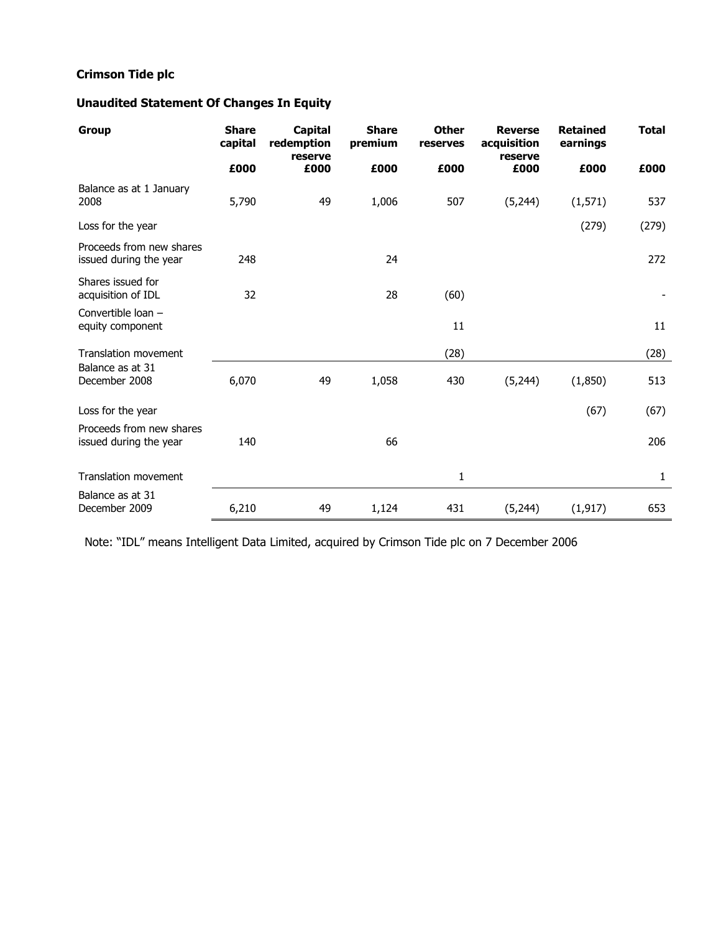## **Unaudited Statement Of Changes In Equity**

| <b>Group</b>                                       | <b>Share</b><br>capital | <b>Capital</b><br>redemption<br>reserve | <b>Share</b><br>premium | <b>Other</b><br>reserves | <b>Reverse</b><br>acquisition<br>reserve | <b>Retained</b><br>earnings | <b>Total</b> |
|----------------------------------------------------|-------------------------|-----------------------------------------|-------------------------|--------------------------|------------------------------------------|-----------------------------|--------------|
|                                                    | £000                    | £000                                    | £000                    | £000                     | £000                                     | £000                        | £000         |
| Balance as at 1 January<br>2008                    | 5,790                   | 49                                      | 1,006                   | 507                      | (5,244)                                  | (1, 571)                    | 537          |
| Loss for the year                                  |                         |                                         |                         |                          |                                          | (279)                       | (279)        |
| Proceeds from new shares<br>issued during the year | 248                     |                                         | 24                      |                          |                                          |                             | 272          |
| Shares issued for<br>acquisition of IDL            | 32                      |                                         | 28                      | (60)                     |                                          |                             |              |
| Convertible loan -<br>equity component             |                         |                                         |                         | 11                       |                                          |                             | 11           |
| Translation movement                               |                         |                                         |                         | (28)                     |                                          |                             | (28)         |
| Balance as at 31<br>December 2008                  | 6,070                   | 49                                      | 1,058                   | 430                      | (5,244)                                  | (1,850)                     | 513          |
| Loss for the year                                  |                         |                                         |                         |                          |                                          | (67)                        | (67)         |
| Proceeds from new shares<br>issued during the year | 140                     |                                         | 66                      |                          |                                          |                             | 206          |
| <b>Translation movement</b>                        |                         |                                         |                         | $\mathbf{1}$             |                                          |                             | $\mathbf{1}$ |
| Balance as at 31<br>December 2009                  | 6,210                   | 49                                      | 1,124                   | 431                      | (5,244)                                  | (1, 917)                    | 653          |

Note: "IDL" means Intelligent Data Limited, acquired by Crimson Tide plc on 7 December 2006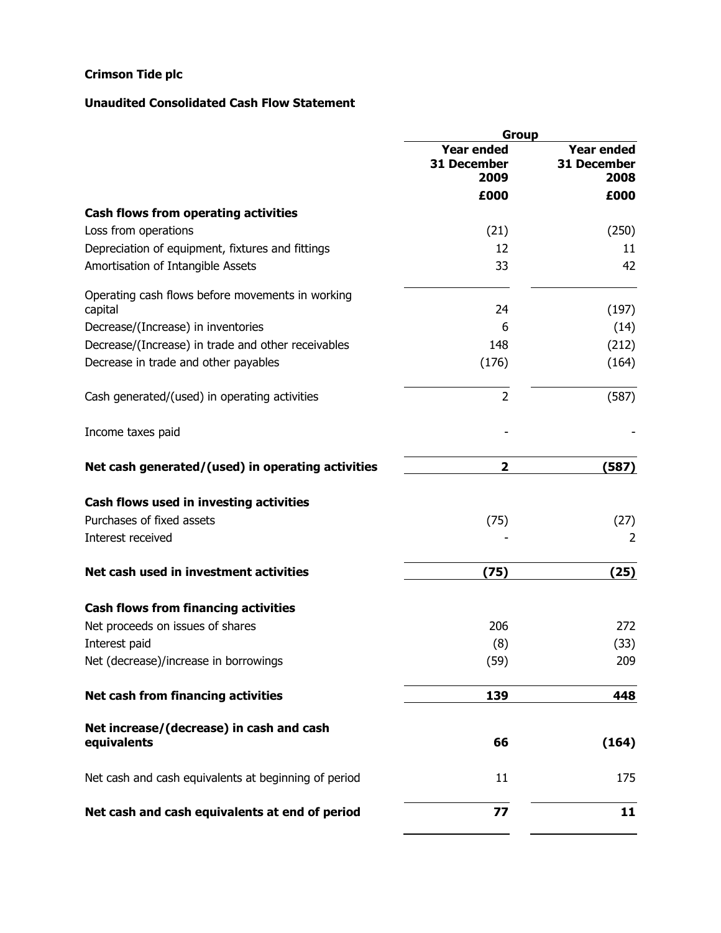### **Unaudited Consolidated Cash Flow Statement**

|                                                             | <b>Group</b>                             |                                                 |
|-------------------------------------------------------------|------------------------------------------|-------------------------------------------------|
|                                                             | <b>Year ended</b><br>31 December<br>2009 | <b>Year ended</b><br><b>31 December</b><br>2008 |
|                                                             | £000                                     | £000                                            |
| Cash flows from operating activities                        |                                          |                                                 |
| Loss from operations                                        | (21)                                     | (250)                                           |
| Depreciation of equipment, fixtures and fittings            | 12                                       | 11                                              |
| Amortisation of Intangible Assets                           | 33                                       | 42                                              |
| Operating cash flows before movements in working<br>capital | 24                                       | (197)                                           |
| Decrease/(Increase) in inventories                          | 6                                        | (14)                                            |
| Decrease/(Increase) in trade and other receivables          | 148                                      | (212)                                           |
| Decrease in trade and other payables                        | (176)                                    | (164)                                           |
| Cash generated/(used) in operating activities               | $\overline{2}$                           | (587)                                           |
| Income taxes paid                                           |                                          |                                                 |
| Net cash generated/(used) in operating activities           | $\overline{\mathbf{2}}$                  | (587)                                           |
| Cash flows used in investing activities                     |                                          |                                                 |
| Purchases of fixed assets                                   | (75)                                     | (27)                                            |
| Interest received                                           |                                          | $\overline{2}$                                  |
| Net cash used in investment activities                      | (75)                                     | (25)                                            |
| <b>Cash flows from financing activities</b>                 |                                          |                                                 |
| Net proceeds on issues of shares                            | 206                                      | 272                                             |
| Interest paid                                               | (8)                                      | (33)                                            |
| Net (decrease)/increase in borrowings                       | (59)                                     | 209                                             |
| Net cash from financing activities                          | 139                                      | 448                                             |
| Net increase/(decrease) in cash and cash                    |                                          |                                                 |
| equivalents                                                 | 66                                       | (164)                                           |
| Net cash and cash equivalents at beginning of period        | 11                                       | 175                                             |
| Net cash and cash equivalents at end of period              | 77                                       | 11                                              |

 $\blacksquare$  $\overline{a}$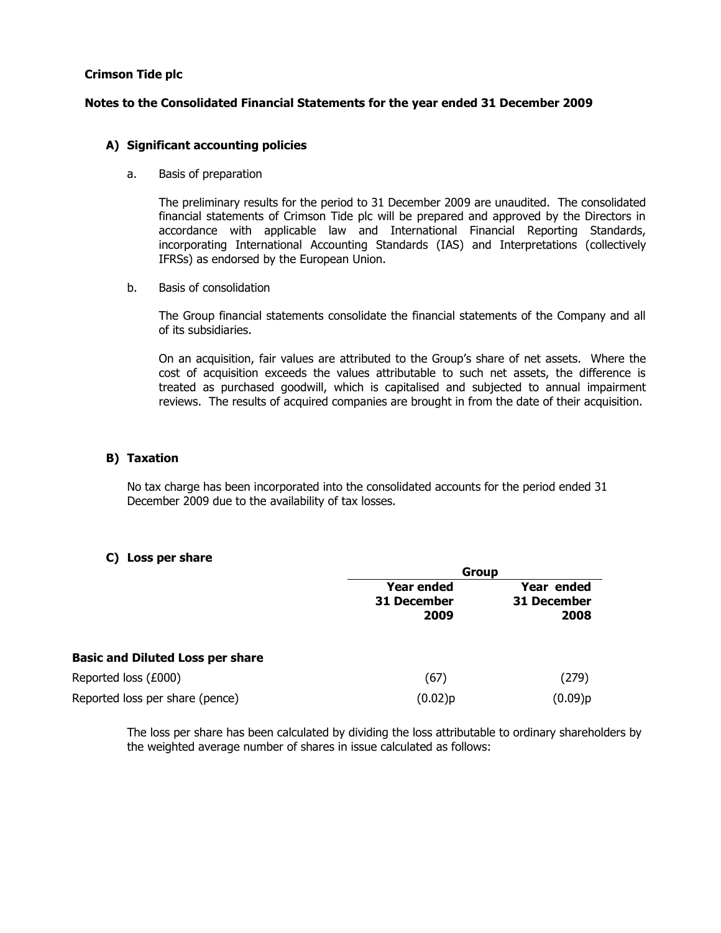### **Notes to the Consolidated Financial Statements for the year ended 31 December 2009**

### **A) Significant accounting policies**

a. Basis of preparation

The preliminary results for the period to 31 December 2009 are unaudited. The consolidated financial statements of Crimson Tide plc will be prepared and approved by the Directors in accordance with applicable law and International Financial Reporting Standards, incorporating International Accounting Standards (IAS) and Interpretations (collectively IFRSs) as endorsed by the European Union.

b. Basis of consolidation

The Group financial statements consolidate the financial statements of the Company and all of its subsidiaries.

On an acquisition, fair values are attributed to the Group's share of net assets. Where the cost of acquisition exceeds the values attributable to such net assets, the difference is treated as purchased goodwill, which is capitalised and subjected to annual impairment reviews. The results of acquired companies are brought in from the date of their acquisition.

### **B) Taxation**

No tax charge has been incorporated into the consolidated accounts for the period ended 31 December 2009 due to the availability of tax losses.

### **C) Loss per share**

|                                         | Group                                           |                                   |  |
|-----------------------------------------|-------------------------------------------------|-----------------------------------|--|
|                                         | <b>Year ended</b><br><b>31 December</b><br>2009 | Year ended<br>31 December<br>2008 |  |
| <b>Basic and Diluted Loss per share</b> |                                                 |                                   |  |
| Reported loss (£000)                    | (67)                                            | (279)                             |  |
| Reported loss per share (pence)         | (0.02)p                                         | (0.09)p                           |  |

The loss per share has been calculated by dividing the loss attributable to ordinary shareholders by the weighted average number of shares in issue calculated as follows: